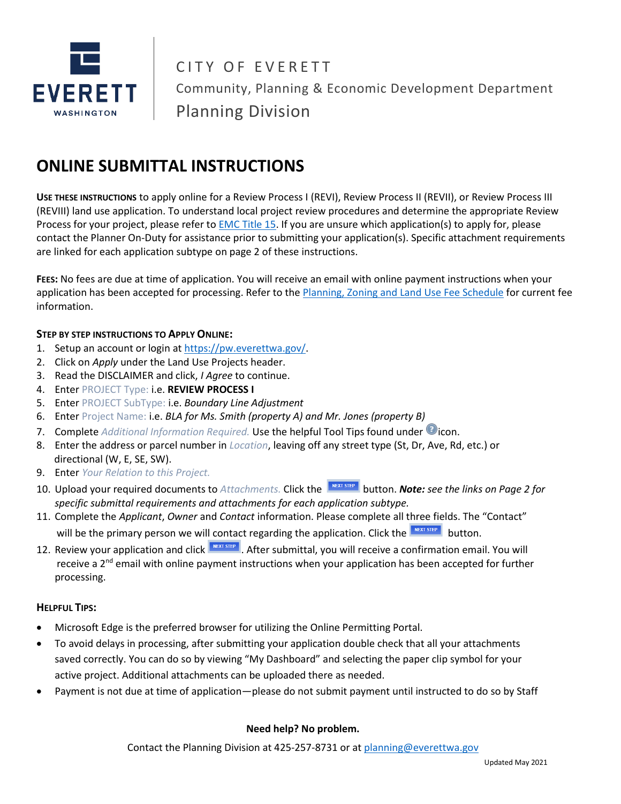

CITY OF EVERETT Community, Planning & Economic Development Department Planning Division

# **ONLINE SUBMITTAL INSTRUCTIONS**

**USE THESE INSTRUCTIONS** to apply online for a Review Process I (REVI), Review Process II (REVII), or Review Process III (REVIII) land use application. To understand local project review procedures and determine the appropriate Review Process for your project, please refer t[o EMC Title 15.](https://www.codepublishing.com/WA/Everett/#!/Everett15/Everett15.html) If you are unsure which application(s) to apply for, please contact the Planner On-Duty for assistance prior to submitting your application(s). Specific attachment requirements are linked for each application subtype on page 2 of these instructions.

**FEES:** No fees are due at time of application. You will receive an email with online payment instructions when your application has been accepted for processing. Refer to th[e Planning, Zoning and Land Use Fee Schedule](https://everettwa.gov/DocumentCenter/View/27190) for current fee information.

#### **STEP BY STEP INSTRUCTIONS TO APPLY ONLINE:**

- 1. Setup an account or login at [https://pw.everettwa.gov/.](https://pw.everettwa.gov/)
- 2. Click on *Apply* under the Land Use Projects header.
- 3. Read the DISCLAIMER and click, *I Agree* to continue.
- 4. Enter PROJECT Type: i.e. **REVIEW PROCESS I**
- 5. Enter PROJECT SubType: i.e. *Boundary Line Adjustment*
- 6. Enter Project Name: i.e. *BLA for Ms. Smith (property A) and Mr. Jones (property B)*
- 7. Complete *Additional Information Required*. Use the helpful Tool Tips found under *Cicon*.
- 8. Enter the address or parcel number in *Location*, leaving off any street type (St, Dr, Ave, Rd, etc.) or directional (W, E, SE, SW).
- 9. Enter *Your Relation to this Project.*
- 10. Upload your required documents to *Attachments*. Click the **button.** *Note: see the links on Page 2 for specific submittal requirements and attachments for each application subtype.*
- 11. Complete the *Applicant*, *Owner* and *Contact* information. Please complete all three fields. The "Contact" will be the primary person we will contact regarding the application. Click the  $\frac{B}{B}$  button.
- 12. Review your application and click **REXT STEP**. After submittal, you will receive a confirmation email. You will receive a 2<sup>nd</sup> email with online payment instructions when your application has been accepted for further processing.

#### **HELPFUL TIPS:**

- Microsoft Edge is the preferred browser for utilizing the Online Permitting Portal.
- To avoid delays in processing, after submitting your application double check that all your attachments saved correctly. You can do so by viewing "My Dashboard" and selecting the paper clip symbol for your active project. Additional attachments can be uploaded there as needed.
- Payment is not due at time of application—please do not submit payment until instructed to do so by Staff

#### **Need help? No problem.**

Contact the Planning Division at 425-257-8731 or at [planning@everettwa.gov](mailto:planning@everettwa.gov)